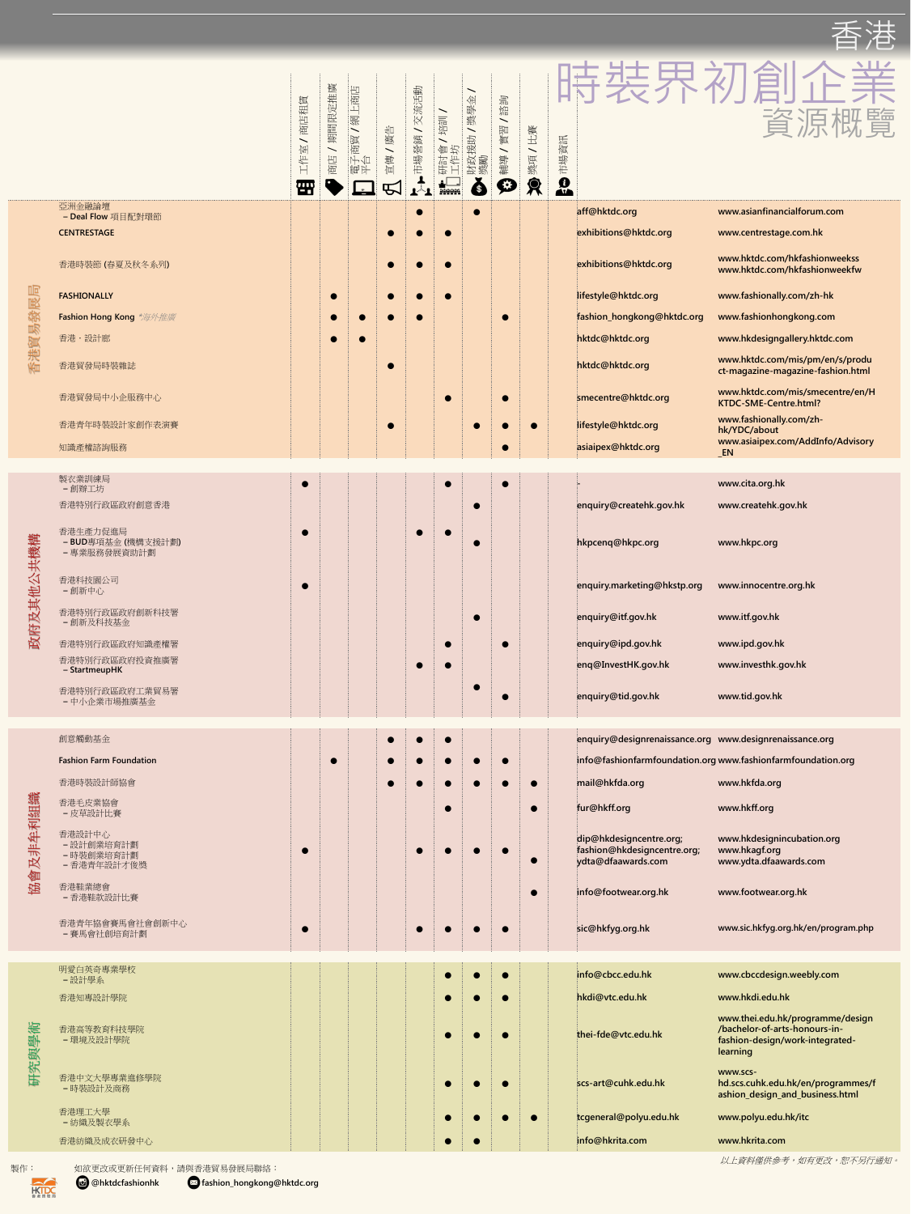| 皮        | 香港特別行政區政府知識產權署<br>香港特別行政區政府投資推廣署                  |           | $\bullet$ |  | enquiry@ipd.gov.hk                                                           | www.ipd.gov.hk                                                        |
|----------|---------------------------------------------------|-----------|-----------|--|------------------------------------------------------------------------------|-----------------------------------------------------------------------|
|          | - StartmeupHK                                     |           |           |  | enq@InvestHK.gov.hk                                                          | www.investhk.gov.hk                                                   |
|          | 香港特別行政區政府工業貿易署<br>- 中小企業市場推廣基金                    |           |           |  | enquiry@tid.gov.hk                                                           | www.tid.gov.hk                                                        |
|          |                                                   |           |           |  |                                                                              |                                                                       |
|          | 創意觸動基金                                            |           |           |  | enquiry@designrenaissance.org www.designrenaissance.org                      |                                                                       |
|          | <b>Fashion Farm Foundation</b>                    | $\bullet$ |           |  |                                                                              | info@fashionfarmfoundation.org www.fashionfarmfoundation.org          |
|          | 香港時裝設計師協會                                         |           |           |  | mail@hkfda.org                                                               | www.hkfda.org                                                         |
|          | 香港毛皮業協會<br>- 皮草設計比賽                               |           | $\bullet$ |  | fur@hkff.org                                                                 | www.hkff.org                                                          |
| 協會及非牟利組織 | 香港設計中心<br>- 設計創業培育計劃<br>- 時裝創業培育計劃<br>- 香港青年設計才俊獎 |           |           |  | dip@hkdesigncentre.org;<br>fashion@hkdesigncentre.org;<br>ydta@dfaawards.com | www.hkdesignincubation.org<br>www.hkagf.org<br>www.ydta.dfaawards.com |
|          | 香港鞋業總會<br>- 香港鞋款設計比賽                              |           |           |  | info@footwear.org.hk                                                         | www.footwear.org.hk                                                   |
|          | 香港青年協會賽馬會社會創新中心<br>- 賽馬會社創培育計劃                    |           |           |  | sic@hkfyg.org.hk                                                             | www.sic.hkfyg.org.hk/en/program.php                                   |

|                            |                                               | 商店租賃<br>宝<br>$\overline{\phantom{0}}$<br><b>TH</b> | 廣<br>挂<br>定<br>期間限<br>商店 | 百度<br>$\overline{\phantom{0}}$<br>能<br>$\overline{\phantom{0}}$<br><b>ZIII</b><br>商<br><b>1200 1200</b> | 出<br>廪<br>傳<br>$ \mathbb{H} $ | 交流活動<br>鎖<br>市場營    | 拉訓<br>御<br>计<br>研言 | 全<br>圈片<br>摸人<br>$\frac{1}{2}$<br>爱<br>獎勵<br>$\left \right. \right. \left. \right. \left. \right. \left. \right. \left. \right. \left. \left. \right. \left. \right. \left. \left. \right. \left. \right. \left. \left. \right. \left. \right. \left. \right. \left. \left. \right. \right. \left. \left. \right. \right. \left. \left. \right. \right. \left. \left. \right. \left. \left. \right. \right. \left. \left. \right. \right. \left. \left. \right. \right. \left. \left. \right. \right. \left. \left. \right. \right. \left. \left. \right. \left. \left. \right. \right. \left. \left. \right. \right$<br>财 | 設立<br>霞堂<br>輔導<br>O | 其上<br>$\overline{\phantom{0}}$<br>獎項 | 市場資訊<br>$\frac{\theta}{\theta}$ | 5/2                                                                  |
|----------------------------|-----------------------------------------------|----------------------------------------------------|--------------------------|---------------------------------------------------------------------------------------------------------|-------------------------------|---------------------|--------------------|----------------------------------------------------------------------------------------------------------------------------------------------------------------------------------------------------------------------------------------------------------------------------------------------------------------------------------------------------------------------------------------------------------------------------------------------------------------------------------------------------------------------------------------------------------------------------------------------------------------------------|---------------------|--------------------------------------|---------------------------------|----------------------------------------------------------------------|
|                            | 亞洲金融論壇<br>- Deal Flow 項目配對環節                  |                                                    |                          |                                                                                                         |                               |                     |                    | $\blacksquare$                                                                                                                                                                                                                                                                                                                                                                                                                                                                                                                                                                                                             |                     |                                      | aff@hktdc.org                   | www.asianfinancialforum.com                                          |
|                            | <b>CENTRESTAGE</b>                            |                                                    |                          |                                                                                                         |                               |                     |                    |                                                                                                                                                                                                                                                                                                                                                                                                                                                                                                                                                                                                                            |                     |                                      | exhibitions@hktdc.org           | www.centrestage.com.hk                                               |
|                            | 香港時裝節 (春夏及秋冬系列)                               |                                                    |                          |                                                                                                         |                               | $\bullet$ $\bullet$ |                    |                                                                                                                                                                                                                                                                                                                                                                                                                                                                                                                                                                                                                            |                     |                                      | exhibitions@hktdc.org           | www.hktdc.com/hkfashionweekss<br>www.hktdc.com/hkfashionweekfw       |
|                            | <b>FASHIONALLY</b>                            |                                                    | $\bullet$                |                                                                                                         |                               |                     |                    |                                                                                                                                                                                                                                                                                                                                                                                                                                                                                                                                                                                                                            |                     |                                      | lifestyle@hktdc.org             | www.fashionally.com/zh-hk                                            |
|                            | <b>Fashion Hong Kong *</b> 海外推廣               |                                                    |                          |                                                                                                         |                               | <b>CONTRACT</b>     |                    |                                                                                                                                                                                                                                                                                                                                                                                                                                                                                                                                                                                                                            |                     |                                      | fashion_hongkong@hktdc.org      | www.fashionhongkong.com                                              |
|                            | 香港・設計廊                                        |                                                    |                          | <b>Designation</b>                                                                                      |                               |                     |                    |                                                                                                                                                                                                                                                                                                                                                                                                                                                                                                                                                                                                                            |                     |                                      | hktdc@hktdc.org                 | www.hkdesigngallery.hktdc.com                                        |
|                            | 香港貿發局時裝雜誌                                     |                                                    |                          |                                                                                                         |                               |                     |                    |                                                                                                                                                                                                                                                                                                                                                                                                                                                                                                                                                                                                                            |                     |                                      | hktdc@hktdc.org                 | www.hktdc.com/mis/pm/en/s/produ<br>ct-magazine-magazine-fashion.html |
|                            | 香港貿發局中小企服務中心                                  |                                                    |                          |                                                                                                         |                               |                     |                    |                                                                                                                                                                                                                                                                                                                                                                                                                                                                                                                                                                                                                            |                     |                                      | smecentre@hktdc.org             | www.hktdc.com/mis/smecentre/en/H<br>KTDC-SME-Centre.html?            |
|                            | 香港青年時裝設計家創作表演賽                                |                                                    |                          |                                                                                                         |                               |                     |                    |                                                                                                                                                                                                                                                                                                                                                                                                                                                                                                                                                                                                                            |                     | $\bullet$                            | lifestyle@hktdc.org             | www.fashionally.com/zh-<br>hk/YDC/about                              |
|                            | 知識產權諮詢服務                                      |                                                    |                          |                                                                                                         |                               |                     |                    |                                                                                                                                                                                                                                                                                                                                                                                                                                                                                                                                                                                                                            |                     |                                      | asiaipex@hktdc.org              | www.asiaipex.com/AddInfo/Advisory<br>$\_EN$                          |
|                            |                                               |                                                    |                          |                                                                                                         |                               |                     |                    |                                                                                                                                                                                                                                                                                                                                                                                                                                                                                                                                                                                                                            |                     |                                      |                                 |                                                                      |
|                            | 製衣業訓練局<br>- 創辦工坊                              |                                                    |                          |                                                                                                         |                               |                     |                    |                                                                                                                                                                                                                                                                                                                                                                                                                                                                                                                                                                                                                            |                     |                                      | المستقر                         | www.cita.org.hk                                                      |
|                            | 香港特別行政區政府創意香港                                 |                                                    |                          |                                                                                                         |                               |                     |                    | $\bullet$                                                                                                                                                                                                                                                                                                                                                                                                                                                                                                                                                                                                                  |                     |                                      | enquiry@createhk.gov.hk         | www.createhk.gov.hk                                                  |
| 共機構<br>$\sqrt{2}$<br>政府及其他 | 香港生產力促進局<br>- BUD專項基金(機構支援計劃)<br>- 專業服務發展資助計劃 |                                                    |                          |                                                                                                         |                               |                     |                    |                                                                                                                                                                                                                                                                                                                                                                                                                                                                                                                                                                                                                            |                     |                                      | hkpcenq@hkpc.org                | www.hkpc.org                                                         |
|                            | 香港科技園公司<br>-創新中心                              |                                                    |                          |                                                                                                         |                               |                     |                    |                                                                                                                                                                                                                                                                                                                                                                                                                                                                                                                                                                                                                            |                     |                                      | enquiry.marketing@hkstp.org     | www.innocentre.org.hk                                                |
|                            | 香港特別行政區政府創新科技署<br>- 創新及科技基金                   |                                                    |                          |                                                                                                         |                               |                     |                    | $\bullet$                                                                                                                                                                                                                                                                                                                                                                                                                                                                                                                                                                                                                  |                     |                                      | enquiry@itf.gov.hk              | www.itf.gov.hk                                                       |
|                            | 香港特別行政區政府知識產權署                                |                                                    |                          |                                                                                                         |                               |                     |                    |                                                                                                                                                                                                                                                                                                                                                                                                                                                                                                                                                                                                                            |                     |                                      | enquiry@ipd.gov.hk              | www.ipd.gov.hk                                                       |



以上資料僅供參考,如有更改,恕不另行通知。



製作︰如欲更改或更新任何資料,請與香港貿易發展局聯絡︰



@**hktdcfashionhk fashion\_hongkong@hktdc.org**